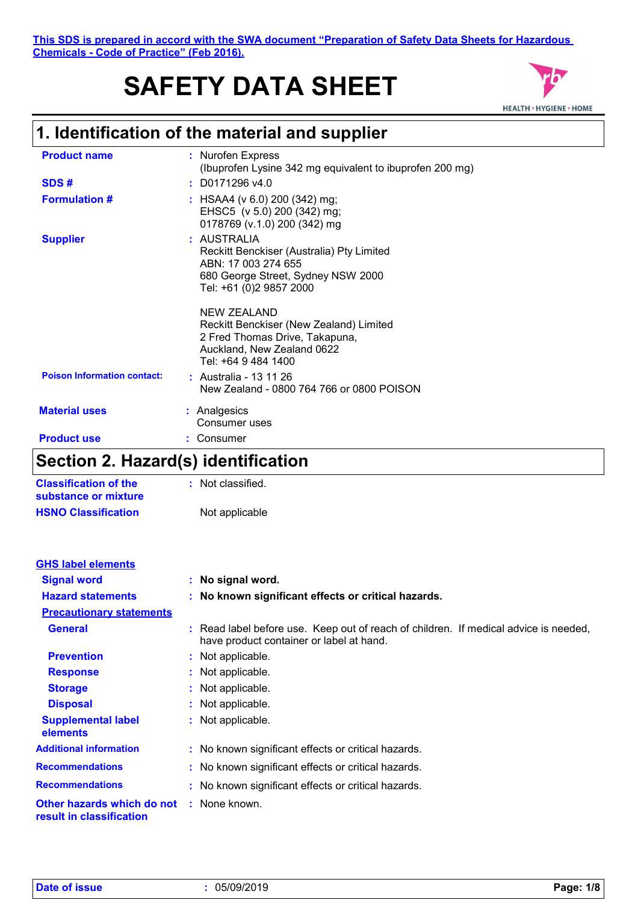# **SAFETY DATA SHEET**



# **1. Identification of the material and supplier**

| <b>Product name</b>                | : Nurofen Express<br>(Ibuprofen Lysine 342 mg equivalent to ibuprofen 200 mg)                                                                        |
|------------------------------------|------------------------------------------------------------------------------------------------------------------------------------------------------|
| SDS#                               | $:$ D0171296 v4.0                                                                                                                                    |
| <b>Formulation #</b>               | : HSAA4 ( $v$ 6.0) 200 (342) mg;<br>EHSC5 (v 5.0) 200 (342) mg;<br>0178769 (v.1.0) 200 (342) mg                                                      |
| <b>Supplier</b>                    | : AUSTRALIA<br>Reckitt Benckiser (Australia) Pty Limited<br>ABN: 17 003 274 655<br>680 George Street, Sydney NSW 2000<br>Tel: +61 (0)2 9857 2000     |
|                                    | <b>NEW ZEALAND</b><br>Reckitt Benckiser (New Zealand) Limited<br>2 Fred Thomas Drive, Takapuna,<br>Auckland, New Zealand 0622<br>Tel: +64 9 484 1400 |
| <b>Poison Information contact:</b> | : Australia - 13 11 26<br>New Zealand - 0800 764 766 or 0800 POISON                                                                                  |
| <b>Material uses</b>               | : Analgesics<br>Consumer uses                                                                                                                        |
| <b>Product use</b>                 | Consumer                                                                                                                                             |

### **Section 2. Hazard(s) identification**

| <b>Classification of the</b><br>substance or mixture | : Not classified. |
|------------------------------------------------------|-------------------|
| <b>HSNO Classification</b>                           | Not applicable    |

| <b>GHS label elements</b>                              |                                                                                                                                  |
|--------------------------------------------------------|----------------------------------------------------------------------------------------------------------------------------------|
| <b>Signal word</b>                                     | : No signal word.                                                                                                                |
| <b>Hazard statements</b>                               | : No known significant effects or critical hazards.                                                                              |
| <b>Precautionary statements</b>                        |                                                                                                                                  |
| <b>General</b>                                         | : Read label before use. Keep out of reach of children. If medical advice is needed,<br>have product container or label at hand. |
| <b>Prevention</b>                                      | : Not applicable.                                                                                                                |
| <b>Response</b>                                        | : Not applicable.                                                                                                                |
| <b>Storage</b>                                         | : Not applicable.                                                                                                                |
| <b>Disposal</b>                                        | : Not applicable.                                                                                                                |
| <b>Supplemental label</b><br>elements                  | : Not applicable.                                                                                                                |
| <b>Additional information</b>                          | : No known significant effects or critical hazards.                                                                              |
| <b>Recommendations</b>                                 | : No known significant effects or critical hazards.                                                                              |
| <b>Recommendations</b>                                 | : No known significant effects or critical hazards.                                                                              |
| Other hazards which do not<br>result in classification | : None known.                                                                                                                    |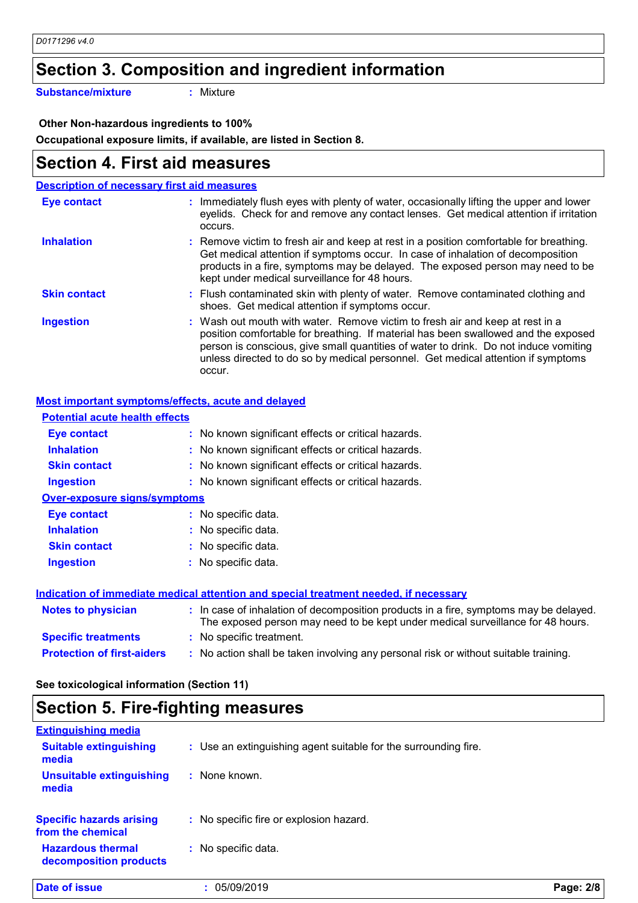# **Section 3. Composition and ingredient information**

**Substance/mixture :**

: Mixture

 **Other Non-hazardous ingredients to 100%**

**Occupational exposure limits, if available, are listed in Section 8.**

### **Section 4. First aid measures**

| <b>Description of necessary first aid measures</b> |                                                                                                                                                                                                                                                                                                                                                           |
|----------------------------------------------------|-----------------------------------------------------------------------------------------------------------------------------------------------------------------------------------------------------------------------------------------------------------------------------------------------------------------------------------------------------------|
| <b>Eye contact</b>                                 | : Immediately flush eyes with plenty of water, occasionally lifting the upper and lower<br>eyelids. Check for and remove any contact lenses. Get medical attention if irritation<br>occurs.                                                                                                                                                               |
| <b>Inhalation</b>                                  | : Remove victim to fresh air and keep at rest in a position comfortable for breathing.<br>Get medical attention if symptoms occur. In case of inhalation of decomposition<br>products in a fire, symptoms may be delayed. The exposed person may need to be<br>kept under medical surveillance for 48 hours.                                              |
| <b>Skin contact</b>                                | : Flush contaminated skin with plenty of water. Remove contaminated clothing and<br>shoes. Get medical attention if symptoms occur.                                                                                                                                                                                                                       |
| <b>Ingestion</b>                                   | : Wash out mouth with water. Remove victim to fresh air and keep at rest in a<br>position comfortable for breathing. If material has been swallowed and the exposed<br>person is conscious, give small quantities of water to drink. Do not induce vomiting<br>unless directed to do so by medical personnel. Get medical attention if symptoms<br>occur. |

#### **Most important symptoms/effects, acute and delayed**

| <b>Potential acute health effects</b> |                                                                                                                                                                          |
|---------------------------------------|--------------------------------------------------------------------------------------------------------------------------------------------------------------------------|
| Eye contact                           | : No known significant effects or critical hazards.                                                                                                                      |
| <b>Inhalation</b>                     | : No known significant effects or critical hazards.                                                                                                                      |
| <b>Skin contact</b>                   | : No known significant effects or critical hazards.                                                                                                                      |
| <b>Ingestion</b>                      | : No known significant effects or critical hazards.                                                                                                                      |
| <b>Over-exposure signs/symptoms</b>   |                                                                                                                                                                          |
| <b>Eye contact</b>                    | : No specific data.                                                                                                                                                      |
| <b>Inhalation</b>                     | : No specific data.                                                                                                                                                      |
| <b>Skin contact</b>                   | : No specific data.                                                                                                                                                      |
| <b>Ingestion</b>                      | : No specific data.                                                                                                                                                      |
|                                       | Indication of immediate medical attention and special treatment needed, if necessary                                                                                     |
| <b>Notes to physician</b>             | : In case of inhalation of decomposition products in a fire, symptoms may be delayed.<br>The exposed person may need to be kept under medical surveillance for 48 hours. |
| <b>Specific treatments</b>            | : No specific treatment.                                                                                                                                                 |

**Protection of first-aiders** : No action shall be taken involving any personal risk or without suitable training.

#### **See toxicological information (Section 11)**

### **Section 5. Fire-fighting measures**

| Date of issue                                        | : 05/09/2019                                                    | Page: 2/8 |
|------------------------------------------------------|-----------------------------------------------------------------|-----------|
| <b>Hazardous thermal</b><br>decomposition products   | : No specific data.                                             |           |
| <b>Specific hazards arising</b><br>from the chemical | : No specific fire or explosion hazard.                         |           |
| <b>Unsuitable extinguishing</b><br>media             | : None known.                                                   |           |
| <b>Suitable extinguishing</b><br>media               | : Use an extinguishing agent suitable for the surrounding fire. |           |
| <b>Extinguishing media</b>                           |                                                                 |           |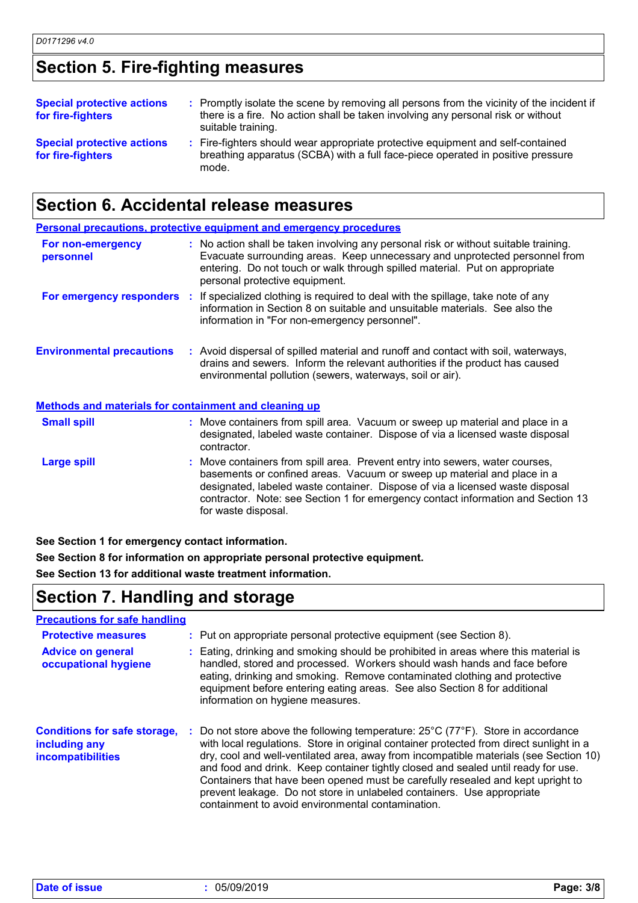# **Section 5. Fire-fighting measures**

| <b>Special protective actions</b><br>for fire-fighters | : Promptly isolate the scene by removing all persons from the vicinity of the incident if<br>there is a fire. No action shall be taken involving any personal risk or without<br>suitable training. |
|--------------------------------------------------------|-----------------------------------------------------------------------------------------------------------------------------------------------------------------------------------------------------|
| <b>Special protective actions</b><br>for fire-fighters | : Fire-fighters should wear appropriate protective equipment and self-contained<br>breathing apparatus (SCBA) with a full face-piece operated in positive pressure<br>mode.                         |

### **Section 6. Accidental release measures**

|                                                              | <b>Personal precautions, protective equipment and emergency procedures</b>                                                                                                                                                                                                                                                                          |
|--------------------------------------------------------------|-----------------------------------------------------------------------------------------------------------------------------------------------------------------------------------------------------------------------------------------------------------------------------------------------------------------------------------------------------|
| For non-emergency<br>personnel                               | : No action shall be taken involving any personal risk or without suitable training.<br>Evacuate surrounding areas. Keep unnecessary and unprotected personnel from<br>entering. Do not touch or walk through spilled material. Put on appropriate<br>personal protective equipment.                                                                |
|                                                              | <b>For emergency responders</b> : If specialized clothing is required to deal with the spillage, take note of any<br>information in Section 8 on suitable and unsuitable materials. See also the<br>information in "For non-emergency personnel".                                                                                                   |
| <b>Environmental precautions</b>                             | : Avoid dispersal of spilled material and runoff and contact with soil, waterways,<br>drains and sewers. Inform the relevant authorities if the product has caused<br>environmental pollution (sewers, waterways, soil or air).                                                                                                                     |
| <b>Methods and materials for containment and cleaning up</b> |                                                                                                                                                                                                                                                                                                                                                     |
| <b>Small spill</b>                                           | : Move containers from spill area. Vacuum or sweep up material and place in a<br>designated, labeled waste container. Dispose of via a licensed waste disposal<br>contractor.                                                                                                                                                                       |
| <b>Large spill</b>                                           | : Move containers from spill area. Prevent entry into sewers, water courses,<br>basements or confined areas. Vacuum or sweep up material and place in a<br>designated, labeled waste container. Dispose of via a licensed waste disposal<br>contractor. Note: see Section 1 for emergency contact information and Section 13<br>for waste disposal. |

**See Section 1 for emergency contact information.**

**See Section 8 for information on appropriate personal protective equipment.**

**See Section 13 for additional waste treatment information.**

# **Section 7. Handling and storage**

| <b>Precautions for safe handling</b>                                             |                                                                                                                                                                                                                                                                                                                                                                                                                                                                                                                                                                                                  |
|----------------------------------------------------------------------------------|--------------------------------------------------------------------------------------------------------------------------------------------------------------------------------------------------------------------------------------------------------------------------------------------------------------------------------------------------------------------------------------------------------------------------------------------------------------------------------------------------------------------------------------------------------------------------------------------------|
| <b>Protective measures</b>                                                       | : Put on appropriate personal protective equipment (see Section 8).                                                                                                                                                                                                                                                                                                                                                                                                                                                                                                                              |
| <b>Advice on general</b><br>occupational hygiene                                 | : Eating, drinking and smoking should be prohibited in areas where this material is<br>handled, stored and processed. Workers should wash hands and face before<br>eating, drinking and smoking. Remove contaminated clothing and protective<br>equipment before entering eating areas. See also Section 8 for additional<br>information on hygiene measures.                                                                                                                                                                                                                                    |
| <b>Conditions for safe storage,</b><br>including any<br><b>incompatibilities</b> | : Do not store above the following temperature: $25^{\circ}$ C (77 $^{\circ}$ F). Store in accordance<br>with local regulations. Store in original container protected from direct sunlight in a<br>dry, cool and well-ventilated area, away from incompatible materials (see Section 10)<br>and food and drink. Keep container tightly closed and sealed until ready for use.<br>Containers that have been opened must be carefully resealed and kept upright to<br>prevent leakage. Do not store in unlabeled containers. Use appropriate<br>containment to avoid environmental contamination. |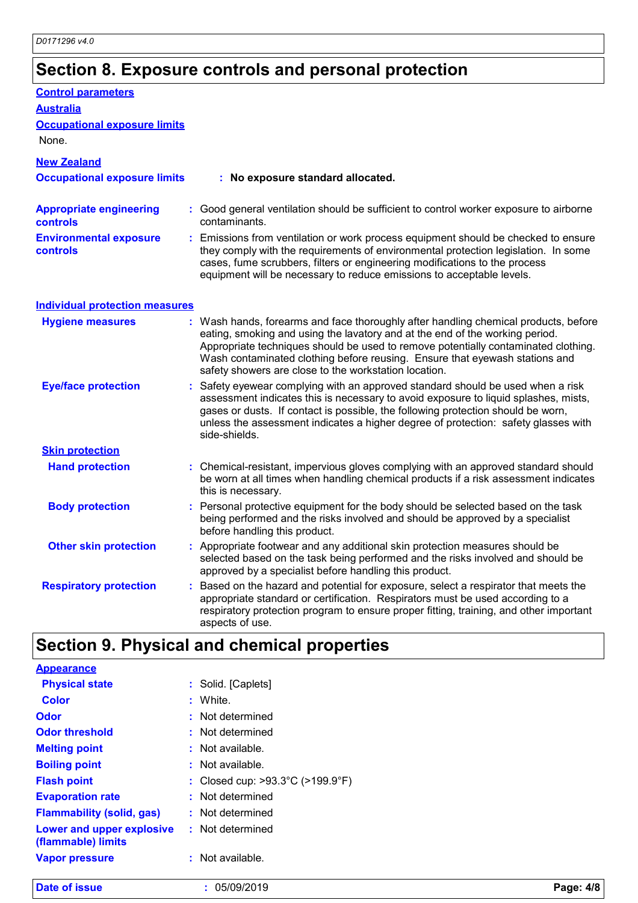# **Section 8. Exposure controls and personal protection**

| <b>Control parameters</b>                         |                                                                                                                                                                                                                                                                                                                                                                                                   |
|---------------------------------------------------|---------------------------------------------------------------------------------------------------------------------------------------------------------------------------------------------------------------------------------------------------------------------------------------------------------------------------------------------------------------------------------------------------|
| <b>Australia</b>                                  |                                                                                                                                                                                                                                                                                                                                                                                                   |
| <b>Occupational exposure limits</b><br>None.      |                                                                                                                                                                                                                                                                                                                                                                                                   |
| <b>New Zealand</b>                                |                                                                                                                                                                                                                                                                                                                                                                                                   |
| <b>Occupational exposure limits</b>               | : No exposure standard allocated.                                                                                                                                                                                                                                                                                                                                                                 |
| <b>Appropriate engineering</b><br><b>controls</b> | : Good general ventilation should be sufficient to control worker exposure to airborne<br>contaminants.                                                                                                                                                                                                                                                                                           |
| <b>Environmental exposure</b><br>controls         | Emissions from ventilation or work process equipment should be checked to ensure<br>they comply with the requirements of environmental protection legislation. In some<br>cases, fume scrubbers, filters or engineering modifications to the process<br>equipment will be necessary to reduce emissions to acceptable levels.                                                                     |
| <b>Individual protection measures</b>             |                                                                                                                                                                                                                                                                                                                                                                                                   |
| <b>Hygiene measures</b>                           | : Wash hands, forearms and face thoroughly after handling chemical products, before<br>eating, smoking and using the lavatory and at the end of the working period.<br>Appropriate techniques should be used to remove potentially contaminated clothing.<br>Wash contaminated clothing before reusing. Ensure that eyewash stations and<br>safety showers are close to the workstation location. |
| <b>Eye/face protection</b>                        | Safety eyewear complying with an approved standard should be used when a risk<br>assessment indicates this is necessary to avoid exposure to liquid splashes, mists,<br>gases or dusts. If contact is possible, the following protection should be worn,<br>unless the assessment indicates a higher degree of protection: safety glasses with<br>side-shields.                                   |
| <b>Skin protection</b>                            |                                                                                                                                                                                                                                                                                                                                                                                                   |
| <b>Hand protection</b>                            | : Chemical-resistant, impervious gloves complying with an approved standard should<br>be worn at all times when handling chemical products if a risk assessment indicates<br>this is necessary.                                                                                                                                                                                                   |
| <b>Body protection</b>                            | Personal protective equipment for the body should be selected based on the task<br>being performed and the risks involved and should be approved by a specialist<br>before handling this product.                                                                                                                                                                                                 |
| <b>Other skin protection</b>                      | : Appropriate footwear and any additional skin protection measures should be<br>selected based on the task being performed and the risks involved and should be<br>approved by a specialist before handling this product.                                                                                                                                                                         |
| <b>Respiratory protection</b>                     | Based on the hazard and potential for exposure, select a respirator that meets the<br>appropriate standard or certification. Respirators must be used according to a<br>respiratory protection program to ensure proper fitting, training, and other important<br>aspects of use.                                                                                                                 |

# **Section 9. Physical and chemical properties**

| Date of issue                                   | : 05/09/2019                                          | Page: 4/8 |
|-------------------------------------------------|-------------------------------------------------------|-----------|
| <b>Vapor pressure</b>                           | : Not available.                                      |           |
| Lower and upper explosive<br>(flammable) limits | : Not determined                                      |           |
| <b>Flammability (solid, gas)</b>                | : Not determined                                      |           |
| <b>Evaporation rate</b>                         | : Not determined                                      |           |
| <b>Flash point</b>                              | : Closed cup: $>93.3^{\circ}$ C ( $>199.9^{\circ}$ F) |           |
| <b>Boiling point</b>                            | $:$ Not available.                                    |           |
| <b>Melting point</b>                            | $:$ Not available.                                    |           |
| <b>Odor threshold</b>                           | : Not determined                                      |           |
| <b>Odor</b>                                     | : Not determined                                      |           |
| <b>Color</b>                                    | : White.                                              |           |
| <b>Physical state</b>                           | : Solid. [Caplets]                                    |           |
| <b>Appearance</b>                               |                                                       |           |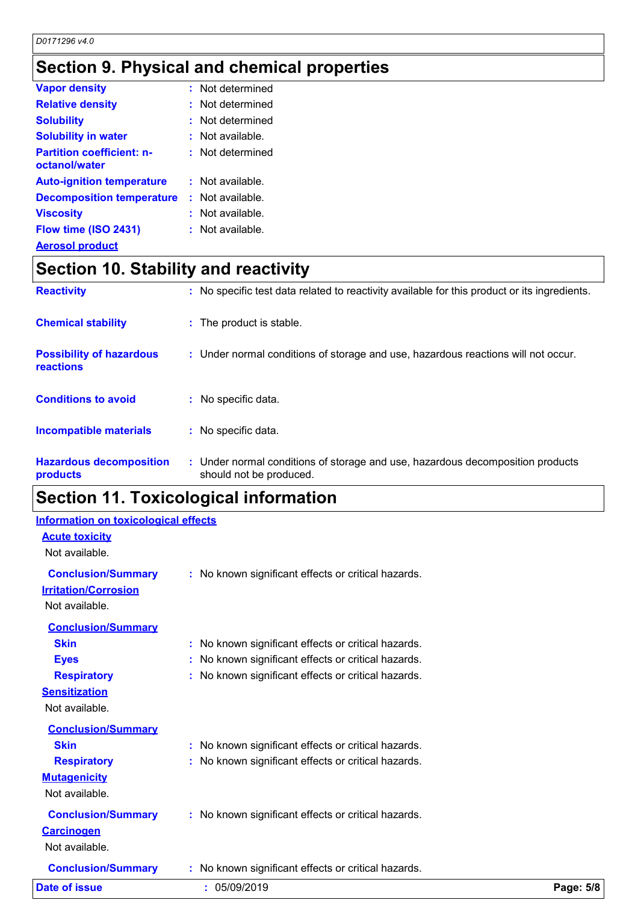# **Section 9. Physical and chemical properties**

| <b>Vapor density</b>                              | : Not determined   |  |
|---------------------------------------------------|--------------------|--|
| <b>Relative density</b>                           | : Not determined   |  |
| <b>Solubility</b>                                 | : Not determined   |  |
| <b>Solubility in water</b>                        | : Not available.   |  |
| <b>Partition coefficient: n-</b><br>octanol/water | : Not determined   |  |
| <b>Auto-ignition temperature</b>                  | $:$ Not available. |  |
| <b>Decomposition temperature</b>                  | $:$ Not available. |  |
| <b>Viscosity</b>                                  | $:$ Not available. |  |
| Flow time (ISO 2431)                              | : Not available.   |  |
| <b>Aerosol product</b>                            |                    |  |

# **Section 10. Stability and reactivity**

| <b>Reactivity</b>                            | : No specific test data related to reactivity available for this product or its ingredients.              |
|----------------------------------------------|-----------------------------------------------------------------------------------------------------------|
| <b>Chemical stability</b>                    | : The product is stable.                                                                                  |
| <b>Possibility of hazardous</b><br>reactions | : Under normal conditions of storage and use, hazardous reactions will not occur.                         |
| <b>Conditions to avoid</b>                   | : No specific data.                                                                                       |
| <b>Incompatible materials</b>                | : No specific data.                                                                                       |
| <b>Hazardous decomposition</b><br>products   | : Under normal conditions of storage and use, hazardous decomposition products<br>should not be produced. |

# **Section 11. Toxicological information**

| <b>Date of issue</b>                                                       | : 05/09/2019                                                                                           | Page: 5/8 |
|----------------------------------------------------------------------------|--------------------------------------------------------------------------------------------------------|-----------|
| <b>Conclusion/Summary</b>                                                  | No known significant effects or critical hazards.                                                      |           |
| <b>Conclusion/Summary</b><br><b>Carcinogen</b><br>Not available.           | : No known significant effects or critical hazards.                                                    |           |
| <b>Mutagenicity</b><br>Not available.                                      |                                                                                                        |           |
| <b>Conclusion/Summary</b><br><b>Skin</b><br><b>Respiratory</b>             | No known significant effects or critical hazards.<br>No known significant effects or critical hazards. |           |
| <b>Sensitization</b><br>Not available.                                     |                                                                                                        |           |
| <b>Respiratory</b>                                                         | No known significant effects or critical hazards.                                                      |           |
| <b>Eyes</b>                                                                | No known significant effects or critical hazards.                                                      |           |
| <b>Conclusion/Summary</b><br><b>Skin</b>                                   | No known significant effects or critical hazards.                                                      |           |
| <b>Conclusion/Summary</b><br><b>Irritation/Corrosion</b><br>Not available. | : No known significant effects or critical hazards.                                                    |           |
| <b>Acute toxicity</b><br>Not available.                                    |                                                                                                        |           |
| <b>Information on toxicological effects</b>                                |                                                                                                        |           |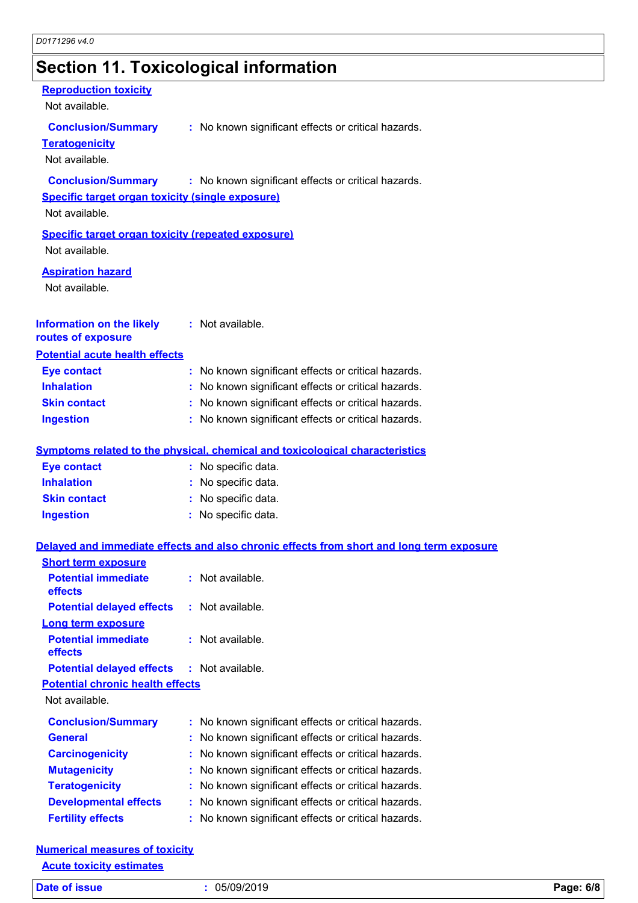# **Section 11. Toxicological information**

#### **Reproduction toxicity**

Not available.

#### **Conclusion/Summary :** No known significant effects or critical hazards.

**Teratogenicity**

Not available.

#### **Conclusion/Summary :** No known significant effects or critical hazards.

#### **Specific target organ toxicity (single exposure)**

Not available.

### **Specific target organ toxicity (repeated exposure)**

Not available.

#### **Aspiration hazard**

Not available.

| Information on the likely             | : Not available. |
|---------------------------------------|------------------|
| routes of exposure                    |                  |
| <b>Potential acute health effects</b> |                  |

| <b>Eye contact</b>  | : No known significant effects or critical hazards. |
|---------------------|-----------------------------------------------------|
| <b>Inhalation</b>   | : No known significant effects or critical hazards. |
| <b>Skin contact</b> | : No known significant effects or critical hazards. |
| <b>Ingestion</b>    | : No known significant effects or critical hazards. |

#### **Symptoms related to the physical, chemical and toxicological characteristics**

| <b>Eye contact</b>  | : No specific data. |
|---------------------|---------------------|
| <b>Inhalation</b>   | : No specific data. |
| <b>Skin contact</b> | : No specific data. |
| <b>Ingestion</b>    | : No specific data. |

#### **Delayed and immediate effects and also chronic effects from short and long term exposure**

| <b>Short term exposure</b>              |                                                     |
|-----------------------------------------|-----------------------------------------------------|
| <b>Potential immediate</b><br>effects   | $:$ Not available.                                  |
| <b>Potential delayed effects</b>        | $:$ Not available.                                  |
| <b>Long term exposure</b>               |                                                     |
| <b>Potential immediate</b><br>effects   | $:$ Not available.                                  |
| <b>Potential delayed effects</b>        | : Not available.                                    |
| <b>Potential chronic health effects</b> |                                                     |
| Not available.                          |                                                     |
| <b>Conclusion/Summary</b>               | : No known significant effects or critical hazards. |
| <b>General</b>                          | : No known significant effects or critical hazards. |
| <b>Carcinogenicity</b>                  | : No known significant effects or critical hazards. |
| <b>Mutagenicity</b>                     | : No known significant effects or critical hazards. |
| <b>Teratogenicity</b>                   | : No known significant effects or critical hazards. |
| <b>Developmental effects</b>            | : No known significant effects or critical hazards. |
| <b>Fertility effects</b>                | : No known significant effects or critical hazards. |

#### **Numerical measures of toxicity Acute toxicity estimates**

| <b>Date</b><br><b>SSUA</b> | /09/2019<br>ባዱ.<br>JJI | 6/8<br><u>пама</u><br>mо<br>. п. |
|----------------------------|------------------------|----------------------------------|
|                            |                        |                                  |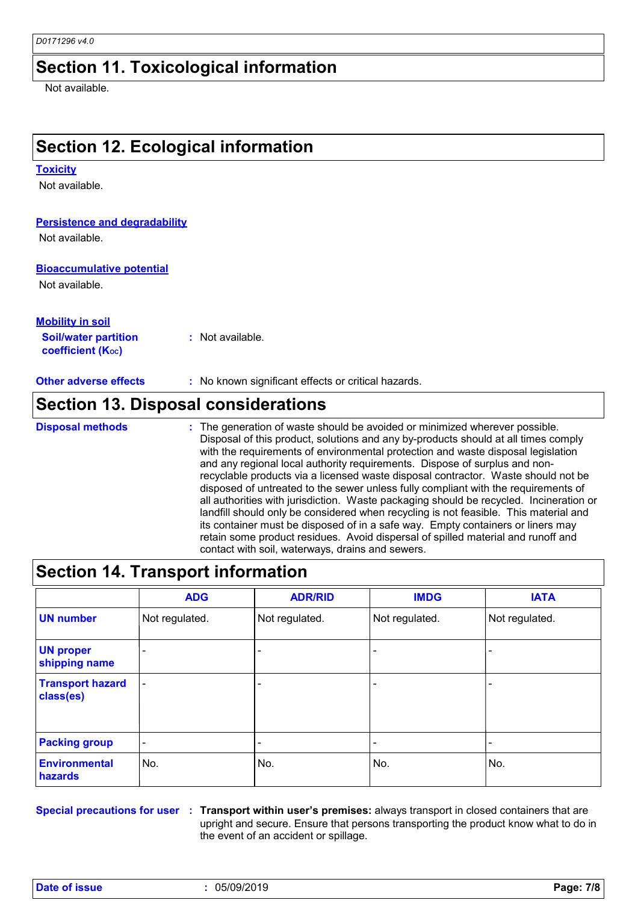### **Section 11. Toxicological information**

Not available.

# **Section 12. Ecological information**

#### **Toxicity**

Not available.

#### **Persistence and degradability**

Not available.

#### **Bioaccumulative potential**

Not available.

#### **Mobility in soil**

**Soil/water partition coefficient (KOC) :** Not available.

**Other adverse effects** : No known significant effects or critical hazards.

### **Section 13. Disposal considerations**

The generation of waste should be avoided or minimized wherever possible. Disposal of this product, solutions and any by-products should at all times comply with the requirements of environmental protection and waste disposal legislation and any regional local authority requirements. Dispose of surplus and nonrecyclable products via a licensed waste disposal contractor. Waste should not be disposed of untreated to the sewer unless fully compliant with the requirements of all authorities with jurisdiction. Waste packaging should be recycled. Incineration or landfill should only be considered when recycling is not feasible. This material and its container must be disposed of in a safe way. Empty containers or liners may retain some product residues. Avoid dispersal of spilled material and runoff and contact with soil, waterways, drains and sewers. **Disposal methods :**

|                                        | <b>ADG</b>               | <b>ADR/RID</b> | <b>IMDG</b>    | <b>IATA</b>    |
|----------------------------------------|--------------------------|----------------|----------------|----------------|
| <b>UN number</b>                       | Not regulated.           | Not regulated. | Not regulated. | Not regulated. |
| <b>UN proper</b><br>shipping name      |                          |                |                |                |
| <b>Transport hazard</b><br>class(es)   |                          |                |                |                |
| <b>Packing group</b>                   | $\overline{\phantom{a}}$ |                |                |                |
| <b>Environmental</b><br><b>hazards</b> | No.                      | No.            | No.            | No.            |

**Special precautions for user Transport within user's premises:** always transport in closed containers that are **:** upright and secure. Ensure that persons transporting the product know what to do in the event of an accident or spillage.

**Date of issue :** 05/09/2019 **Page: 7/8**